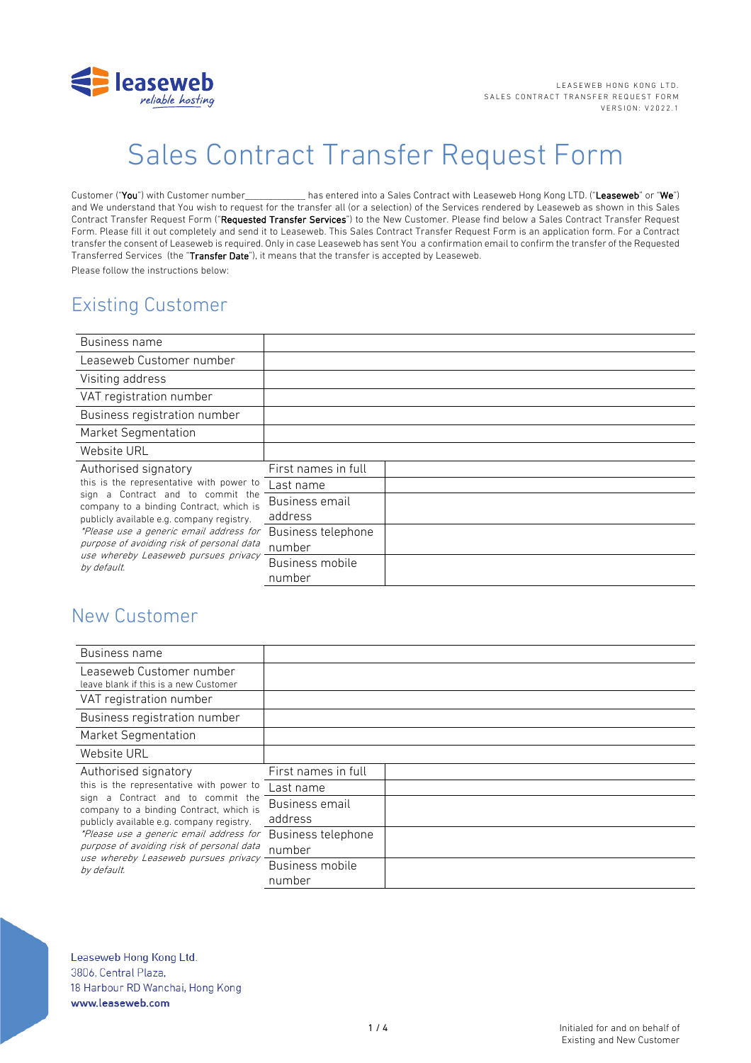

# Sales Contract Transfer Request Form

Customer ("You") with Customer number\_\_\_\_\_\_\_\_\_\_\_\_\_ has entered into a Sales Contract with Leaseweb Hong Kong LTD. ("Leaseweb" or "We") and We understand that You wish to request for the transfer all (or a selection) of the Services rendered by Leaseweb as shown in this Sales Contract Transfer Request Form ("Requested Transfer Services") to the New Customer. Please find below a Sales Contract Transfer Request Form. Please fill it out completely and send it to Leaseweb. This Sales Contract Transfer Request Form is an application form. For a Contract transfer the consent of Leaseweb is required. Only in case Leaseweb has sent You a confirmation email to confirm the transfer of the Requested Transferred Services (the "Transfer Date"), it means that the transfer is accepted by Leaseweb. Please follow the instructions below:

# Existing Customer

| Business name                                                                                                                                                                                                                                                                                                                                   |                     |  |
|-------------------------------------------------------------------------------------------------------------------------------------------------------------------------------------------------------------------------------------------------------------------------------------------------------------------------------------------------|---------------------|--|
| Leaseweb Customer number                                                                                                                                                                                                                                                                                                                        |                     |  |
| Visiting address                                                                                                                                                                                                                                                                                                                                |                     |  |
| VAT registration number                                                                                                                                                                                                                                                                                                                         |                     |  |
| Business registration number                                                                                                                                                                                                                                                                                                                    |                     |  |
| Market Segmentation                                                                                                                                                                                                                                                                                                                             |                     |  |
| Website URL                                                                                                                                                                                                                                                                                                                                     |                     |  |
| Authorised signatory<br>this is the representative with power to<br>Contract and to commit the<br>sign a<br>company to a binding Contract, which is<br>publicly available e.g. company registry.<br>*Please use a generic email address for<br>purpose of avoiding risk of personal data<br>use whereby Leaseweb pursues privacy<br>by default. | First names in full |  |
|                                                                                                                                                                                                                                                                                                                                                 | Last name           |  |
|                                                                                                                                                                                                                                                                                                                                                 | Business email      |  |
|                                                                                                                                                                                                                                                                                                                                                 | address             |  |
|                                                                                                                                                                                                                                                                                                                                                 | Business telephone  |  |
|                                                                                                                                                                                                                                                                                                                                                 | number              |  |
|                                                                                                                                                                                                                                                                                                                                                 | Business mobile     |  |
|                                                                                                                                                                                                                                                                                                                                                 | number              |  |

# New Customer

| Business name                                                                                                                                                                                                                                                                                                                                |                              |  |
|----------------------------------------------------------------------------------------------------------------------------------------------------------------------------------------------------------------------------------------------------------------------------------------------------------------------------------------------|------------------------------|--|
| Leaseweb Customer number<br>leave blank if this is a new Customer                                                                                                                                                                                                                                                                            |                              |  |
| VAT registration number                                                                                                                                                                                                                                                                                                                      |                              |  |
| Business registration number                                                                                                                                                                                                                                                                                                                 |                              |  |
| <b>Market Segmentation</b>                                                                                                                                                                                                                                                                                                                   |                              |  |
| Website URL                                                                                                                                                                                                                                                                                                                                  |                              |  |
| Authorised signatory<br>this is the representative with power to<br>sign a Contract and to commit the<br>company to a binding Contract, which is<br>publicly available e.g. company registry.<br>*Please use a generic email address for<br>purpose of avoiding risk of personal data<br>use whereby Leaseweb pursues privacy<br>by default. | First names in full          |  |
|                                                                                                                                                                                                                                                                                                                                              | Last name                    |  |
|                                                                                                                                                                                                                                                                                                                                              | Business email<br>address    |  |
|                                                                                                                                                                                                                                                                                                                                              | Business telephone<br>number |  |
|                                                                                                                                                                                                                                                                                                                                              | Business mobile<br>number    |  |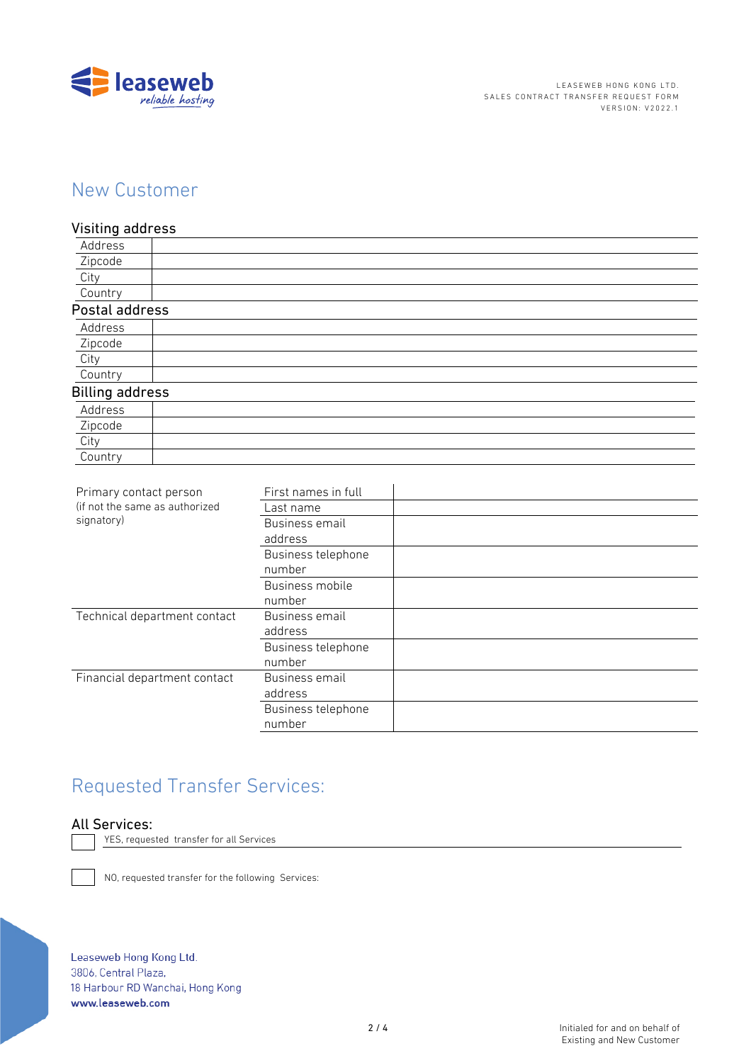

## New Customer

### Visiting address

| Address                |  |
|------------------------|--|
| Zipcode                |  |
| City                   |  |
| Country                |  |
| Postal address         |  |
| Address                |  |
| Zipcode                |  |
| City                   |  |
| Country                |  |
| <b>Billing address</b> |  |
| Address                |  |
| Zipcode                |  |
| City                   |  |
| Country                |  |

| Primary contact person<br>(if not the same as authorized<br>signatory) | First names in full |  |
|------------------------------------------------------------------------|---------------------|--|
|                                                                        | Last name           |  |
|                                                                        | Business email      |  |
|                                                                        | address             |  |
|                                                                        | Business telephone  |  |
|                                                                        | number              |  |
|                                                                        | Business mobile     |  |
|                                                                        | number              |  |
| Technical department contact                                           | Business email      |  |
|                                                                        | address             |  |
|                                                                        | Business telephone  |  |
|                                                                        | number              |  |
| Financial department contact                                           | Business email      |  |
|                                                                        | address             |  |
|                                                                        | Business telephone  |  |
|                                                                        | number              |  |
|                                                                        |                     |  |

# Requested Transfer Services:

### All Services:

YES, requested transfer for all Services

NO, requested transfer for the following Services:

Leaseweb Hong Kong Ltd. 3806, Central Plaza, 18 Harbour RD Wanchai, Hong Kong www.leaseweb.com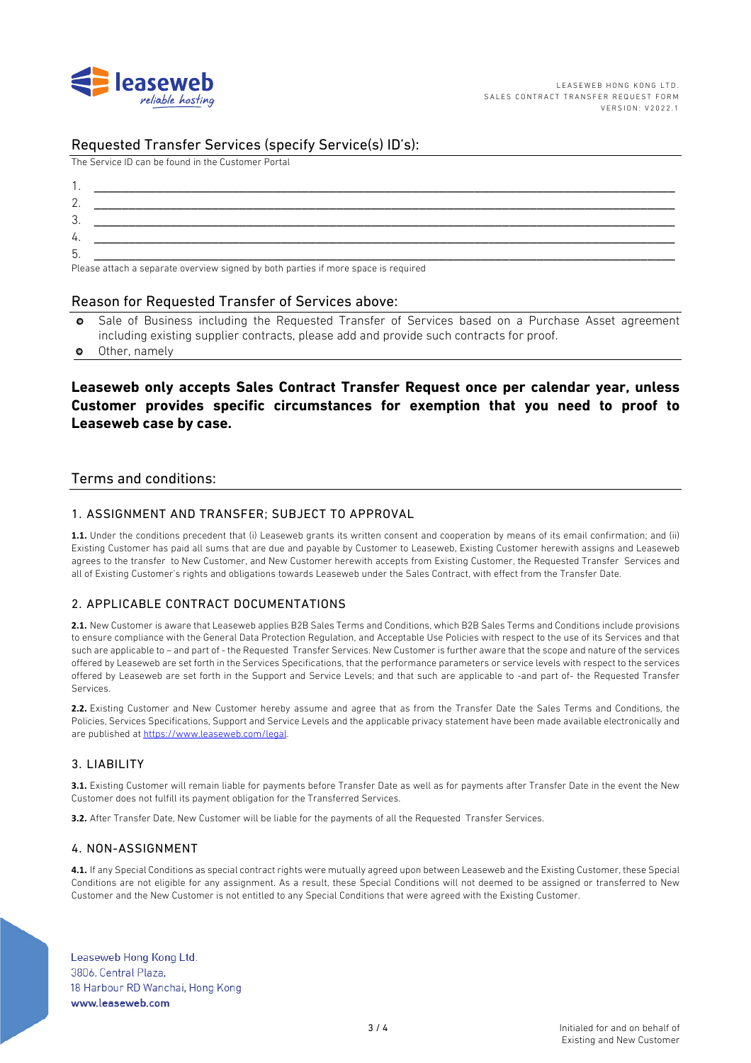

### Requested Transfer Services (specify Service(s) ID's):

The Service ID can be found in the Customer Portal

| . ب      |                                                                                                                                                                                                                                   |
|----------|-----------------------------------------------------------------------------------------------------------------------------------------------------------------------------------------------------------------------------------|
| 4.       |                                                                                                                                                                                                                                   |
| h<br>. ب |                                                                                                                                                                                                                                   |
| $\sim$   | $\mathbf{r}$ , and the contract of the contract of the contract of the contract of the contract of the contract of the contract of the contract of the contract of the contract of the contract of the contract of the contract o |

Please attach a separate overview signed by both parties if more space is required

#### Reason for Requested Transfer of Services above:

- o Sale of Business including the Requested Transfer of Services based on a Purchase Asset agreement including existing supplier contracts, please add and provide such contracts for proof.
- o Other, namely

### **Leaseweb only accepts Sales Contract Transfer Request once per calendar year, unless Customer provides specific circumstances for exemption that you need to proof to Leaseweb case by case.**

#### Terms and conditions:

#### 1. ASSIGNMENT AND TRANSFER; SUBJECT TO APPROVAL

**1.1.** Under the conditions precedent that (i) Leaseweb grants its written consent and cooperation by means of its email confirmation; and (ii) Existing Customer has paid all sums that are due and payable by Customer to Leaseweb, Existing Customer herewith assigns and Leaseweb agrees to the transfer to New Customer, and New Customer herewith accepts from Existing Customer, the Requested Transfer Services and all of Existing Customer's rights and obligations towards Leaseweb under the Sales Contract, with effect from the Transfer Date.

#### 2. APPLICABLE CONTRACT DOCUMENTATIONS

**2.1.** New Customer is aware that Leaseweb applies B2B Sales Terms and Conditions, which B2B Sales Terms and Conditions include provisions to ensure compliance with the General Data Protection Regulation, and Acceptable Use Policies with respect to the use of its Services and that such are applicable to – and part of - the Requested Transfer Services. New Customer is further aware that the scope and nature of the services offered by Leaseweb are set forth in the Services Specifications, that the performance parameters or service levels with respect to the services offered by Leaseweb are set forth in the Support and Service Levels; and that such are applicable to -and part of- the Requested Transfer Services.

**2.2.** Existing Customer and New Customer hereby assume and agree that as from the Transfer Date the Sales Terms and Conditions, the Policies, Services Specifications, Support and Service Levels and the applicable privacy statement have been made available electronically and are published at https://www.leaseweb.com/legal.

#### 3. LIABILITY

**3.1.** Existing Customer will remain liable for payments before Transfer Date as well as for payments after Transfer Date in the event the New Customer does not fulfill its payment obligation for the Transferred Services.

**3.2.** After Transfer Date, New Customer will be liable for the payments of all the Requested Transfer Services.

#### 4. NON-ASSIGNMENT

**4.1.** If any Special Conditions as special contract rights were mutually agreed upon between Leaseweb and the Existing Customer, these Special Conditions are not eligible for any assignment. As a result, these Special Conditions will not deemed to be assigned or transferred to New Customer and the New Customer is not entitled to any Special Conditions that were agreed with the Existing Customer.

Leaseweb Hong Kong Ltd. 3806, Central Plaza, 18 Harbour RD Wanchai, Hong Kong www.leaseweb.com